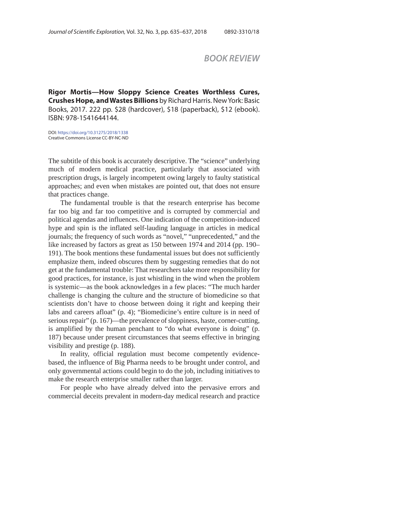## *BOOK REVIEW*

**Rigor Mortis—How Sloppy Science Creates Worthless Cures, Crushes Hope, and Wastes Billions** by Richard Harris. New York: Basic Books, 2017. 222 pp. \$28 (hardcover), \$18 (paperback), \$12 (ebook). ISBN: 978-1541644144.

DOI: https://doi.org/10.31275/2018/1338 Creative Commons License CC-BY-NC-ND

The subtitle of this book is accurately descriptive. The "science" underlying much of modern medical practice, particularly that associated with prescription drugs, is largely incompetent owing largely to faulty statistical approaches; and even when mistakes are pointed out, that does not ensure that practices change.

The fundamental trouble is that the research enterprise has become far too big and far too competitive and is corrupted by commercial and political agendas and influences. One indication of the competition-induced hype and spin is the inflated self-lauding language in articles in medical journals; the frequency of such words as "novel," "unprecedented," and the like increased by factors as great as 150 between 1974 and 2014 (pp. 190– 191). The book mentions these fundamental issues but does not sufficiently emphasize them, indeed obscures them by suggesting remedies that do not get at the fundamental trouble: That researchers take more responsibility for good practices, for instance, is just whistling in the wind when the problem is systemic—as the book acknowledges in a few places: "The much harder challenge is changing the culture and the structure of biomedicine so that scientists don't have to choose between doing it right and keeping their labs and careers afloat" (p. 4); "Biomedicine's entire culture is in need of serious repair" (p. 167)—the prevalence of sloppiness, haste, corner-cutting, is amplified by the human penchant to "do what everyone is doing" (p. 187) because under present circumstances that seems effective in bringing visibility and prestige (p. 188).

In reality, official regulation must become competently evidencebased, the influence of Big Pharma needs to be brought under control, and only governmental actions could begin to do the job, including initiatives to make the research enterprise smaller rather than larger.

For people who have already delved into the pervasive errors and commercial deceits prevalent in modern-day medical research and practice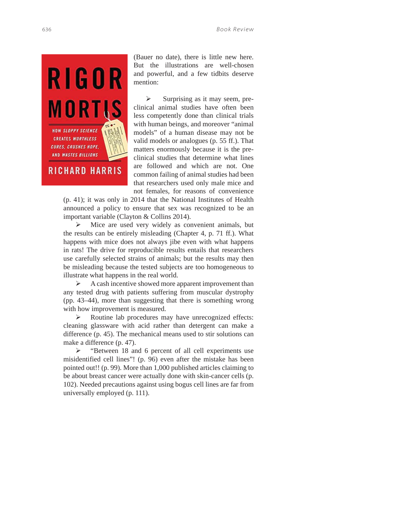

(Bauer no date), there is little new here. But the illustrations are well-chosen and powerful, and a few tidbits deserve mention:

 $\triangleright$  Surprising as it may seem, preclinical animal studies have often been less competently done than clinical trials with human beings, and moreover "animal models" of a human disease may not be valid models or analogues (p. 55 ff.). That matters enormously because it is the preclinical studies that determine what lines are followed and which are not. One common failing of animal studies had been that researchers used only male mice and not females, for reasons of convenience

(p. 41); it was only in 2014 that the National Institutes of Health announced a policy to ensure that sex was recognized to be an important variable (Clayton & Collins 2014).

 $\triangleright$  Mice are used very widely as convenient animals, but the results can be entirely misleading (Chapter 4, p. 71 ff.). What happens with mice does not always jibe even with what happens in rats! The drive for reproducible results entails that researchers use carefully selected strains of animals; but the results may then be misleading because the tested subjects are too homogeneous to illustrate what happens in the real world.

 $\triangleright$  A cash incentive showed more apparent improvement than any tested drug with patients suffering from muscular dystrophy (pp. 43–44), more than suggesting that there is something wrong with how improvement is measured.

 $\triangleright$  Routine lab procedures may have unrecognized effects: cleaning glassware with acid rather than detergent can make a difference (p. 45). The mechanical means used to stir solutions can make a difference (p. 47).

Exercise 2 The Superior State of all cell experiments use misidentified cell lines"! (p. 96) even after the mistake has been pointed out!! (p. 99). More than 1,000 published articles claiming to be about breast cancer were actually done with skin-cancer cells (p. 102). Needed precautions against using bogus cell lines are far from universally employed (p. 111).